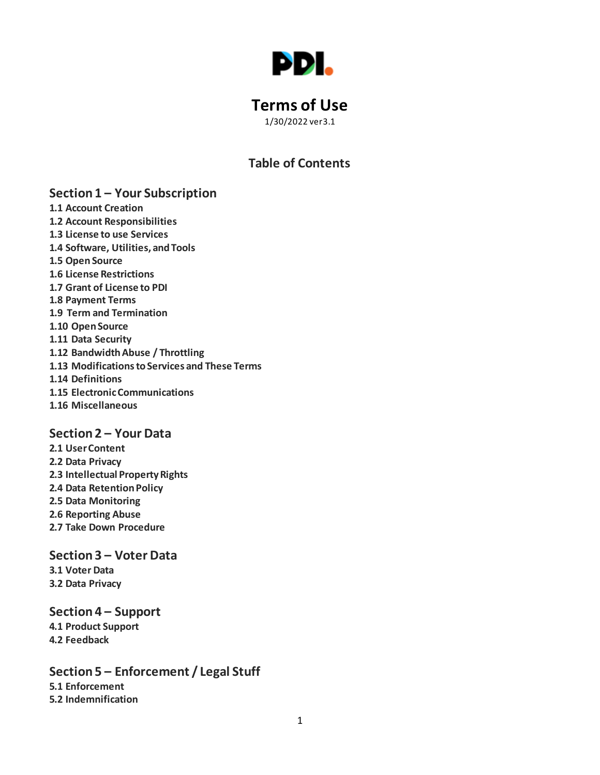

# **Terms of Use**

1/30/2022 ver3.1

# **Table of Contents**

# **Section 1 – Your Subscription**

- **1.1 Account Creation**
- **1.2 Account Responsibilities**
- **1.3 License to use Services**
- **1.4 Software, Utilities, and Tools**
- **1.5 Open Source**
- **1.6 License Restrictions**
- **1.7 Grant of License to PDI**
- **1.8 Payment Terms**
- **1.9 Term and Termination**
- **1.10 Open Source**
- **1.11 Data Security**
- **1.12 Bandwidth Abuse / Throttling**
- **1.13 Modificationsto Services and These Terms**
- **1.14 Definitions**
- **1.15 Electronic Communications**
- **1.16 Miscellaneous**

# **Section 2 – Your Data**

**2.1 User Content 2.2 Data Privacy 2.3 Intellectual Property Rights 2.4 Data Retention Policy 2.5 Data Monitoring 2.6 Reporting Abuse 2.7 Take Down Procedure**

# **Section 3 – Voter Data**

**3.1 Voter Data 3.2 Data Privacy**

**Section 4 – Support 4.1 Product Support 4.2 Feedback**

**Section 5 – Enforcement / Legal Stuff 5.1 Enforcement 5.2 Indemnification**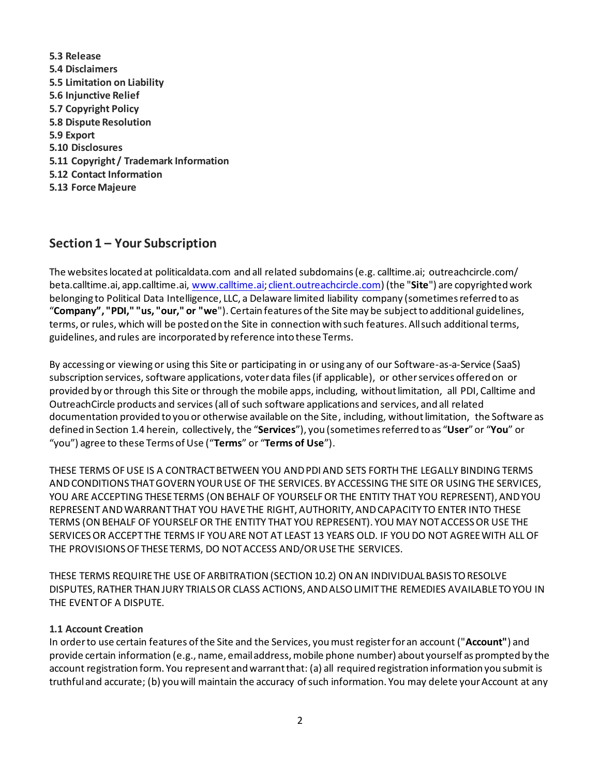**5.3 Release 5.4 Disclaimers 5.5 Limitation on Liability 5.6 Injunctive Relief 5.7 Copyright Policy 5.8 Dispute Resolution 5.9 Export 5.10 Disclosures 5.11 Copyright / Trademark Information 5.12 Contact Information 5.13 Force Majeure**

# **Section 1 – Your Subscription**

The websites located at politicaldata.com and all related subdomains (e.g. calltime.ai; outreachcircle.com/ beta.calltime.ai, app.calltime.ai, www.calltime.ai; client.outreachcircle.com) (the "**Site**") are copyrighted work belonging to Political Data Intelligence, LLC, a Delaware limited liability company (sometimes referred to as "**Company", "PDI," "us, "our," or "we**"). Certain features of the Site may be subject to additional guidelines, terms, or rules, which will be posted on the Site in connection with such features. All such additional terms, guidelines, and rules are incorporated by reference into these Terms.

By accessing or viewing or using this Site or participating in or using any of our Software-as-a-Service (SaaS) subscription services, software applications, voter data files (if applicable), or other services offered on or provided by or through this Site or through the mobile apps, including, without limitation, all PDI, Calltime and OutreachCircle products and services(all of such software applications and services, and all related documentation provided to you or otherwise available on the Site, including, without limitation, the Software as defined in Section 1.4 herein, collectively, the "**Services**"), you (sometimesreferred to as "**User**"or "**You**" or "you") agree to these Terms of Use ("**Terms**" or "**Terms of Use**").

THESE TERMS OF USE IS A CONTRACT BETWEEN YOU AND PDI AND SETS FORTH THE LEGALLY BINDING TERMS AND CONDITIONS THAT GOVERN YOUR USE OF THE SERVICES. BY ACCESSING THE SITE OR USING THE SERVICES, YOU ARE ACCEPTING THESE TERMS (ON BEHALF OF YOURSELF OR THE ENTITY THAT YOU REPRESENT), AND YOU REPRESENT AND WARRANT THAT YOU HAVE THE RIGHT, AUTHORITY, AND CAPACITY TO ENTER INTO THESE TERMS (ON BEHALF OF YOURSELF OR THE ENTITY THAT YOU REPRESENT). YOU MAY NOT ACCESS OR USE THE SERVICESOR ACCEPT THE TERMS IF YOU ARE NOT AT LEAST 13 YEARS OLD. IF YOU DO NOT AGREE WITH ALL OF THE PROVISIONS OF THESE TERMS, DO NOT ACCESS AND/OR USE THE SERVICES.

THESE TERMS REQUIRE THE USE OF ARBITRATION (SECTION 10.2) ON AN INDIVIDUAL BASIS TO RESOLVE DISPUTES, RATHER THAN JURY TRIALS OR CLASS ACTIONS, AND ALSO LIMIT THE REMEDIES AVAILABLE TO YOU IN THE EVENT OF A DISPUTE.

# **1.1 Account Creation**

In order to use certain features of the Site and the Services, you must register for an account ("**Account"**) and provide certain information (e.g., name, email address, mobile phone number) about yourself as prompted by the account registration form. You represent and warrant that: (a) all required registration information you submit is truthful and accurate; (b) you will maintain the accuracy of such information. You may delete your Account at any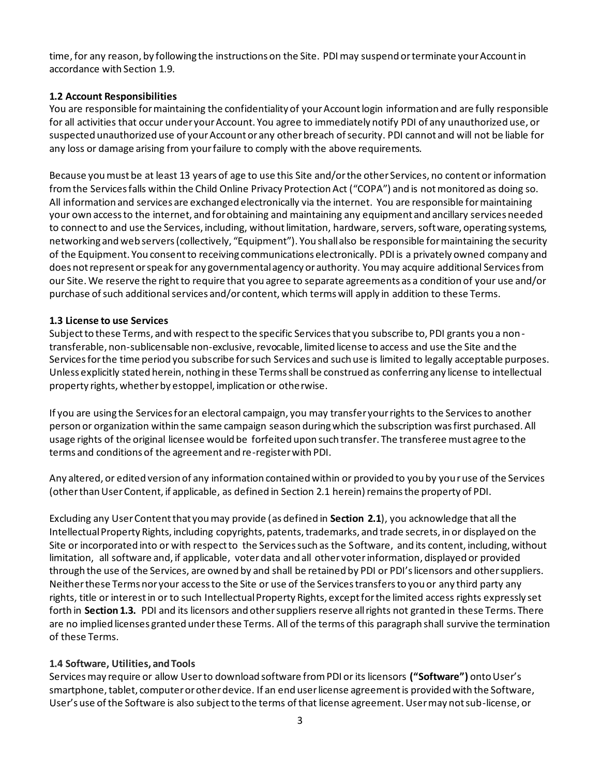time, for any reason, by following the instructions on the Site. PDImay suspend or terminate your Account in accordance with Section 1.9.

### **1.2 Account Responsibilities**

You are responsible for maintaining the confidentiality of your Account login information and are fully responsible for all activities that occur under your Account. You agree to immediately notify PDI of any unauthorized use, or suspected unauthorized use of your Account or any other breach of security. PDI cannot and will not be liable for any loss or damage arising from your failure to comply with the above requirements.

Because you must be at least 13 years of age to use this Site and/or the other Services, no content or information from the Services falls within the Child Online Privacy Protection Act ("COPA") and is not monitored as doing so. All information and services are exchanged electronically via the internet. You are responsible for maintaining your own access to the internet, and for obtaining and maintaining any equipment and ancillary services needed to connect to and use the Services, including, without limitation, hardware, servers, software, operating systems, networking and web servers (collectively, "Equipment"). You shall also be responsible for maintaining the security of the Equipment. You consent to receiving communications electronically. PDI is a privately owned company and does not represent or speak for any governmental agency or authority. You may acquire additional Services from our Site. We reserve the right to require that you agree to separate agreements as a condition of your use and/or purchase of such additional services and/or content, which terms will apply in addition to these Terms.

### **1.3 License to use Services**

Subject to these Terms, and with respect to the specific Services that you subscribe to, PDI grants you a nontransferable, non-sublicensable non-exclusive, revocable, limited license to access and use the Site and the Services for the time period you subscribe for such Services and such use is limited to legally acceptable purposes. Unless explicitly stated herein, nothing in these Terms shall be construed as conferring any license to intellectual property rights, whether by estoppel, implication or otherwise.

If you are using the Services for an electoral campaign, you may transfer your rights to the Services to another person or organization within the same campaign season during which the subscription was first purchased. All usage rights of the original licensee would be forfeited upon such transfer. The transferee must agree to the terms and conditions of the agreement and re-register with PDI.

Any altered, or edited version of any information contained within or provided to you by your use of the Services (other than User Content, if applicable, as defined in Section 2.1 herein) remains the property of PDI.

Excluding any User Content that you may provide (as defined in **Section 2.1**), you acknowledge that all the Intellectual Property Rights, including copyrights, patents, trademarks, and trade secrets, in or displayed on the Site or incorporated into or with respect to the Services such as the Software, and its content, including, without limitation, all software and, if applicable, voter data and all other voter information, displayed or provided through the use of the Services, are owned by and shall be retained by PDI or PDI's licensors and other suppliers. Neither these Terms nor your access to the Site or use of the Services transfers to you or any third party any rights, title or interest in or to such Intellectual Property Rights, except for the limited access rights expressly set forth in **Section 1.3.** PDI and its licensors and other suppliers reserve all rights not granted in these Terms. There are no implied licenses granted under these Terms. All of the terms of this paragraph shall survive the termination of these Terms.

### **1.4 Software, Utilities, and Tools**

Services may require or allow User to download software from PDI or its licensors **("Software")** onto User's smartphone, tablet, computer or other device. If an end user license agreement is provided with the Software, User's use of the Software is also subject to the terms of that license agreement. User may not sub-license, or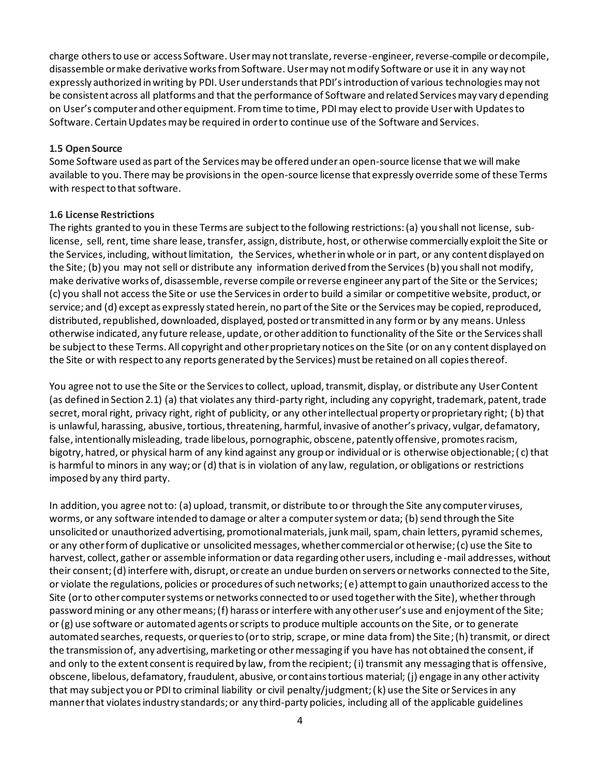charge others to use or access Software. User may not translate, reverse-engineer, reverse-compile or decompile, disassemble or make derivative works from Software. User may not modify Software or use it in any way not expressly authorized in writing by PDI. User understands that PDI's introduction of various technologies may not be consistent across all platforms and that the performance of Software and related Services may vary depending on User's computer and other equipment. From time to time, PDI may elect to provide User with Updates to Software. Certain Updates may be required in order to continue use of the Software and Services.

### **1.5 Open Source**

Some Software used as part of the Services may be offered under an open-source license that we will make available to you. There may be provisions in the open-source license that expressly override some of these Terms with respect to that software.

### **1.6 License Restrictions**

The rights granted to you in these Terms are subject to the following restrictions: (a) you shall not license, sublicense, sell, rent, time share lease, transfer, assign, distribute, host, or otherwise commercially exploit the Site or the Services, including, without limitation, the Services, whether in whole or in part, or any content displayed on the Site; (b) you may not sell or distribute any information derived from the Services(b) you shall not modify, make derivative works of, disassemble, reverse compile or reverse engineer any part of the Site or the Services; (c) you shall not access the Site or use the Services in order to build a similar or competitive website, product, or service; and (d) except as expressly stated herein, no part of the Site or the Services may be copied, reproduced, distributed, republished, downloaded, displayed, posted or transmitted in any form or by any means. Unless otherwise indicated, any future release, update, or other addition to functionality of the Site or the Services shall be subject to these Terms. All copyright and other proprietary notices on the Site (or on any content displayed on the Site or with respect to any reports generated by the Services) must be retained on all copies thereof.

You agree not to use the Site or the Services to collect, upload, transmit, display, or distribute any User Content (as defined in Section 2.1) (a) that violates any third-party right, including any copyright, trademark, patent, trade secret, moral right, privacy right, right of publicity, or any other intellectual property or proprietary right; (b) that is unlawful, harassing, abusive, tortious, threatening, harmful, invasive of another's privacy, vulgar, defamatory, false, intentionally misleading, trade libelous, pornographic, obscene, patently offensive, promotes racism, bigotry, hatred, or physical harm of any kind against any group or individual or is otherwise objectionable; ( c) that is harmful to minors in any way; or (d) that is in violation of any law, regulation, or obligations or restrictions imposed by any third party.

In addition, you agree not to: (a) upload, transmit, or distribute to or through the Site any computer viruses, worms, or any software intended to damage or alter a computer system or data; (b) send through the Site unsolicited or unauthorized advertising, promotional materials, junk mail, spam, chain letters, pyramid schemes, or any other form of duplicative or unsolicited messages, whether commercial or otherwise; (c) use the Site to harvest, collect, gather or assemble information or data regarding other users, including e -mail addresses, without their consent; (d) interfere with, disrupt, or create an undue burden on servers or networks connected to the Site, or violate the regulations, policies or procedures of such networks; (e) attempt to gain unauthorized access to the Site (or to other computer systems or networks connected to or used together with the Site), whether through password mining or any other means; (f) harass or interfere with any other user's use and enjoyment of the Site; or (g) use software or automated agents or scripts to produce multiple accounts on the Site, or to generate automated searches, requests, or queries to (or to strip, scrape, or mine data from) the Site; (h) transmit, or direct the transmission of, any advertising, marketing or other messaging if you have has not obtained the consent, if and only to the extent consent is required by law, from the recipient; (i) transmit any messaging that is offensive, obscene, libelous, defamatory, fraudulent, abusive, or contains tortious material; (j) engage in any other activity that may subject you or PDI to criminal liability or civil penalty/judgment; (k) use the Site or Services in any manner that violates industry standards; or any third-party policies, including all of the applicable guidelines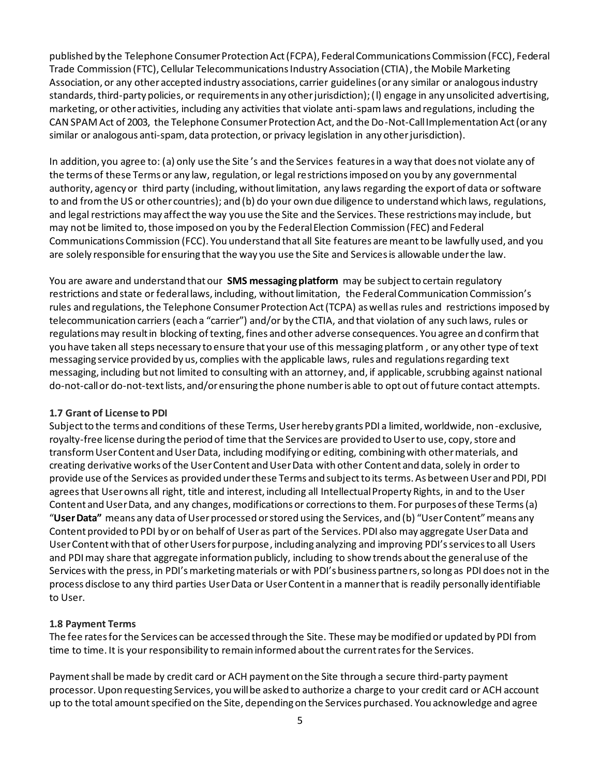published by the Telephone Consumer Protection Act (FCPA), Federal Communications Commission (FCC), Federal Trade Commission (FTC), Cellular Telecommunications Industry Association (CTIA), the Mobile Marketing Association, or any other accepted industry associations, carrier guidelines (or any similar or analogous industry standards, third-party policies, or requirements in any other jurisdiction); (l) engage in any unsolicited advertising, marketing, or other activities, including any activities that violate anti-spam laws and regulations, including the CAN SPAM Act of 2003, the Telephone Consumer Protection Act, and the Do-Not-Call Implementation Act (or any similar or analogous anti-spam, data protection, or privacy legislation in any other jurisdiction).

In addition, you agree to: (a) only use the Site 's and the Services features in a way that does not violate any of the terms of these Terms or any law, regulation, or legal restrictions imposed on you by any governmental authority, agency or third party (including, without limitation, any laws regarding the export of data or software to and from the US or other countries); and (b) do your own due diligence to understand which laws, regulations, and legal restrictions may affect the way you use the Site and the Services. These restrictions may include, but may not be limited to, those imposed on you by the Federal Election Commission (FEC) and Federal Communications Commission (FCC). You understand that all Site features are meant to be lawfully used, and you are solely responsible for ensuring that the way you use the Site and Services is allowable under the law.

You are aware and understand that our **SMS messaging platform** may be subject to certain regulatory restrictions and state or federal laws, including, without limitation, the Federal Communication Commission's rules and regulations, the Telephone Consumer Protection Act (TCPA) as well as rules and restrictions imposed by telecommunication carriers (each a "carrier") and/or by the CTIA, and that violation of any such laws, rules or regulations may result in blocking of texting, fines and other adverse consequences. You agree and confirm that you have taken all steps necessary to ensure that your use of this messaging platform , or any other type of text messaging service provided by us, complies with the applicable laws, rules and regulations regarding text messaging, including but not limited to consulting with an attorney, and, if applicable, scrubbing against national do-not-call or do-not-text lists, and/or ensuring the phone number is able to opt out of future contact attempts.

### **1.7 Grant of License to PDI**

Subject to the terms and conditions of these Terms, User hereby grants PDI a limited, worldwide, non-exclusive, royalty-free license during the period of time that the Services are provided to User to use, copy, store and transform User Content and User Data, including modifying or editing, combining with other materials, and creating derivative works of the User Content and User Data with other Content and data, solely in order to provide use of the Services as provided under these Terms and subject to its terms. As between User and PDI, PDI agrees that User owns all right, title and interest, including all Intellectual Property Rights, in and to the User Content and User Data, and any changes, modifications or corrections to them. For purposes of these Terms (a) "**User Data"** means any data of User processed or stored using the Services, and (b) "User Content" means any Content provided to PDI by or on behalf of User as part of the Services. PDI also may aggregate User Data and User Content with that of other Users for purpose, including analyzing and improving PDI's services to all Users and PDI may share that aggregate information publicly, including to show trends about the general use of the Serviceswith the press, in PDI's marketing materials or with PDI's business partners, so long as PDI does not in the process disclose to any third parties User Data or User Content in a manner that is readily personally identifiable to User.

### **1.8 Payment Terms**

The fee rates for the Services can be accessed through the Site. These may be modified or updated by PDI from time to time. It is your responsibility to remain informed about the current rates for the Services.

Payment shall be made by credit card or ACH payment on the Site through a secure third-party payment processor. Upon requesting Services, you will be asked to authorize a charge to your credit card or ACH account up to the total amount specified on the Site, depending on the Services purchased. You acknowledge and agree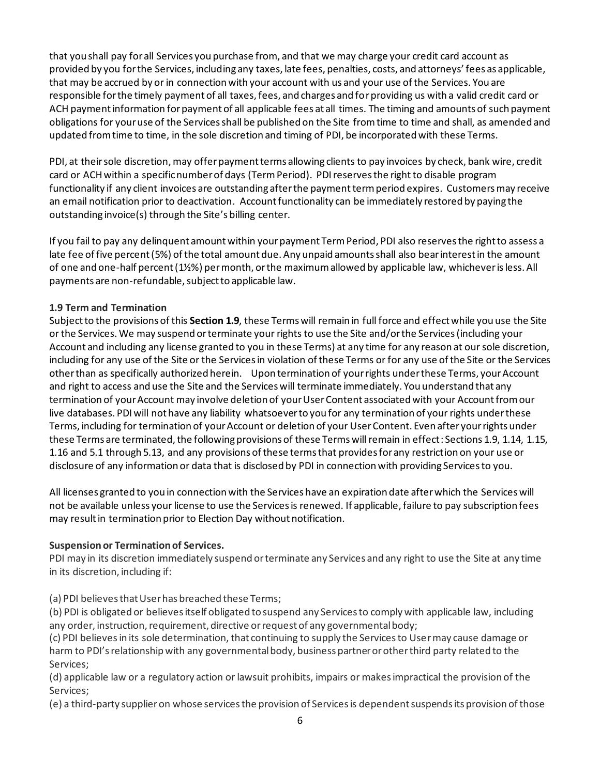that you shall pay for all Services you purchase from, and that we may charge your credit card account as provided by you for the Services, including any taxes, late fees, penalties, costs, and attorneys' fees as applicable, that may be accrued by or in connection with your account with us and your use of the Services. You are responsible for the timely payment of all taxes, fees, and charges and for providing us with a valid credit card or ACH payment information for payment of all applicable fees at all times. The timing and amounts of such payment obligations for your use of the Services shall be published on the Site from time to time and shall, as amended and updated from time to time, in the sole discretion and timing of PDI, be incorporated with these Terms.

PDI, at their sole discretion, may offer payment terms allowing clients to pay invoices by check, bank wire, credit card or ACHwithin a specific number of days (TermPeriod). PDI reserves the right to disable program functionality if any client invoices are outstanding after the paymentterm period expires. Customers may receive an email notification prior to deactivation. Account functionality can be immediately restored by paying the outstanding invoice(s) through the Site's billing center.

If you fail to pay any delinquent amount within yourpayment Term Period, PDI also reserves the right to assess a late fee of five percent (5%) of the total amount due. Any unpaid amounts shall also bear interest in the amount of one and one-half percent (1½%) per month, or the maximum allowed by applicable law, whichever is less. All payments are non-refundable, subject to applicable law.

# **1.9 Term and Termination**

Subject to the provisions of this **Section 1.9**, these Terms will remain in full force and effect while you use the Site or the Services. We may suspend or terminate your rights to use the Site and/or the Services (including your Account and including any license granted to you in these Terms) at any time for any reason at our sole discretion, including for any use of the Site or the Services in violation of these Terms or for any use of the Site or the Services other than as specifically authorized herein. Upon termination of your rights under these Terms, your Account and right to access and use the Site and the Services will terminate immediately. You understand that any termination of your Account may involve deletion of your User Content associated with your Account from our live databases. PDI will not have any liability whatsoever to you for any termination of your rights under these Terms, including for termination of your Account or deletion of your User Content. Even after your rights under these Terms are terminated, the following provisions of these Terms will remain in effect: Sections 1.9, 1.14, 1.15, 1.16 and 5.1 through 5.13, and any provisions of these terms that provides for any restriction on your use or disclosure of any information or data that is disclosed by PDI in connection with providing Services to you.

All licenses granted to you in connection with the Services have an expiration date after which the Services will not be available unless your license to use the Services is renewed. If applicable, failure to pay subscription fees may result in termination prior to Election Day without notification.

# **Suspension or Terminationof Services.**

PDI may in its discretion immediately suspend or terminate any Services and any right to use the Site at any time in its discretion, including if:

(a) PDI believes that User has breached these Terms;

(b) PDI is obligated or believes itself obligated to suspend any Services to comply with applicable law, including any order, instruction, requirement, directive or request of any governmental body;

(c) PDI believesin its sole determination, that continuing to supply the Services to User may cause damage or harm to PDI's relationship with any governmental body, business partner or other third party related to the Services;

(d) applicable law or a regulatory action or lawsuit prohibits, impairs or makes impractical the provision of the Services;

(e) a third-party supplier on whose services the provision of Services is dependent suspends its provision of those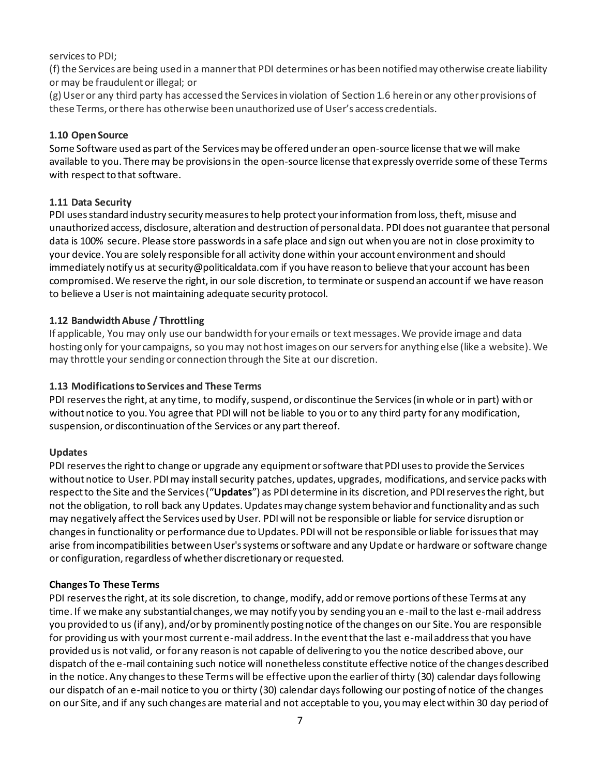services to PDI;

(f) the Services are being used in a manner that PDI determines or has been notified may otherwise create liability or may be fraudulent or illegal; or

(g) User or any third party has accessed the Services in violation of Section 1.6 herein or any other provisions of these Terms, or there has otherwise been unauthorized use of User's access credentials.

### **1.10 Open Source**

Some Software used as part of the Services may be offered under an open-source license that we will make available to you. There may be provisions in the open-source license that expressly override some of these Terms with respect to that software.

### **1.11 Data Security**

PDI uses standard industry security measures to help protect your information from loss, theft, misuse and unauthorized access, disclosure, alteration and destruction of personal data. PDI does not guarantee that personal data is 100% secure. Please store passwords in a safe place and sign out when you are not in close proximity to your device. You are solely responsible for all activity done within your account environment and should immediately notify us at security@politicaldata.com if you have reason to believe that your account has been compromised. We reserve the right, in our sole discretion, to terminate or suspend an account if we have reason to believe a User is not maintaining adequate security protocol.

### **1.12 Bandwidth Abuse / Throttling**

If applicable, You may only use our bandwidth for your emails or text messages. We provide image and data hosting only for your campaigns, so you may not host images on our servers for anything else (like a website). We may throttle your sending or connection through the Site at our discretion.

### **1.13 Modificationsto Services and These Terms**

PDI reserves the right, at any time, to modify, suspend, or discontinue the Services (in whole or in part) with or without notice to you. You agree that PDI will not be liable to you or to any third party for any modification, suspension, or discontinuation of the Services or any part thereof.

### **Updates**

PDI reserves the right to change or upgrade any equipment or software that PDI uses to provide the Services without notice to User. PDI may install security patches, updates, upgrades, modifications, and service packs with respect to the Site and the Services ("**Updates**") as PDI determine in its discretion, and PDI reserves the right, but not the obligation, to roll back any Updates. Updates may change system behavior and functionality and as such may negatively affect the Services used by User. PDI will not be responsible or liable for service disruption or changes in functionality or performance due to Updates. PDI will not be responsible or liable for issues that may arise from incompatibilities between User's systems or software and any Update or hardware or software change or configuration, regardless of whether discretionary or requested.

### **Changes To These Terms**

PDI reserves the right, at its sole discretion, to change, modify, add or remove portions of these Terms at any time. If we make any substantial changes, we may notify you by sending you an e-mail to the last e-mail address you provided to us (if any), and/or by prominently posting notice of the changes on our Site. You are responsible for providing us with your most current e-mail address. In the event that the last e-mail address that you have provided us is not valid, or for any reason is not capable of delivering to you the notice described above, our dispatch of the e-mail containing such notice will nonetheless constitute effective notice of the changes described in the notice. Any changes to these Terms will be effective upon the earlier of thirty (30) calendar days following our dispatch of an e-mail notice to you or thirty (30) calendar days following our posting of notice of the changes on our Site, and if any such changes are material and not acceptable to you, you may elect within 30 day period of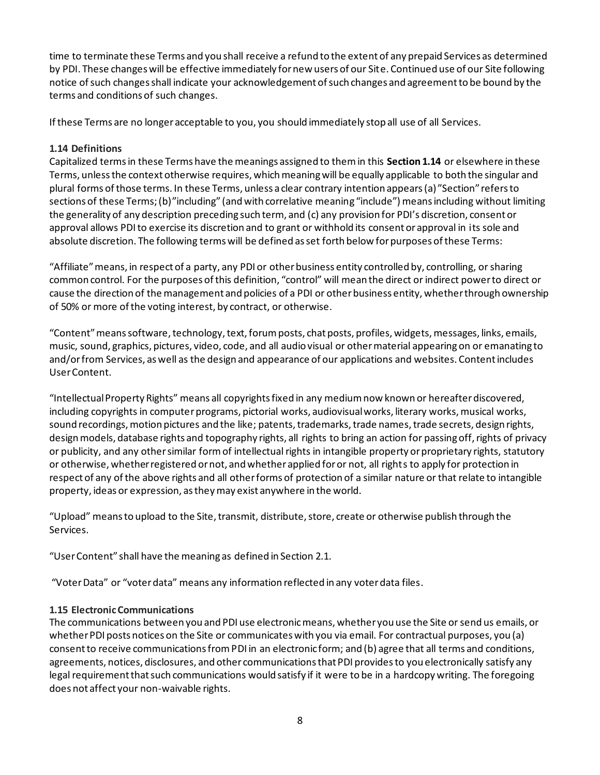time to terminate these Terms and you shall receive a refund to the extent of any prepaid Services as determined by PDI. These changes will be effective immediately for new users of our Site. Continued use of our Site following notice of such changes shall indicate your acknowledgement of such changes and agreement to be bound by the terms and conditions of such changes.

If these Terms are no longer acceptable to you, you should immediately stop all use of all Services.

# **1.14 Definitions**

Capitalized terms in these Terms have the meanings assigned to them in this **Section 1.14** or elsewhere in these Terms, unless the context otherwise requires, which meaning will be equally applicable to both the singular and plural forms of those terms. In these Terms, unless a clear contrary intention appears (a) "Section" refers to sections of these Terms; (b)"including" (and with correlative meaning "include") means including without limiting the generality of any description preceding such term, and (c) any provision for PDI's discretion, consent or approval allows PDI to exercise its discretion and to grant or withhold its consent or approval in its sole and absolute discretion. The following terms will be defined as set forth below for purposes of these Terms:

"Affiliate" means, in respect of a party, any PDI or other business entity controlled by, controlling, or sharing common control. For the purposes of this definition, "control" will mean the direct or indirect power to direct or cause the direction of the management and policies of a PDI or other business entity, whether through ownership of 50% or more of the voting interest, by contract, or otherwise.

"Content" means software, technology, text, forum posts, chat posts, profiles, widgets, messages, links, emails, music, sound, graphics, pictures, video, code, and all audio visual or other material appearing on or emanating to and/or from Services, as well as the design and appearance of our applications and websites. Content includes User Content.

"Intellectual Property Rights" means all copyrights fixed in any medium now known or hereafter discovered, including copyrights in computer programs, pictorial works, audiovisual works, literary works, musical works, sound recordings, motion pictures and the like; patents, trademarks, trade names, trade secrets, design rights, design models, database rights and topography rights, all rights to bring an action for passing off, rights of privacy or publicity, and any other similar form of intellectual rights in intangible property or proprietary rights, statutory or otherwise, whether registered or not, and whether applied for or not, all rights to apply for protection in respect of any of the above rights and all other forms of protection of a similar nature or that relate to intangible property, ideas or expression, as they may exist anywhere in the world.

"Upload" means to upload to the Site, transmit, distribute, store, create or otherwise publish through the Services.

"User Content" shall have the meaning as defined in Section 2.1.

"Voter Data" or "voter data" means any information reflected in any voter data files.

# **1.15 Electronic Communications**

The communications between you and PDI use electronic means, whether you use the Site or send us emails, or whether PDI posts notices on the Site or communicates with you via email. For contractual purposes, you (a) consent to receive communications from PDI in an electronic form; and (b) agree that all terms and conditions, agreements, notices, disclosures, and other communications that PDI provides to you electronically satisfy any legal requirement that such communications would satisfy if it were to be in a hardcopy writing. The foregoing does not affect your non-waivable rights.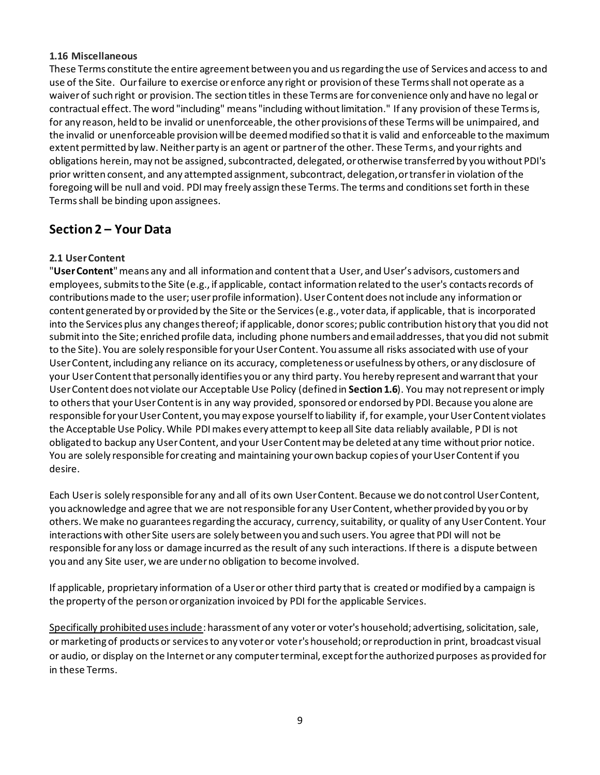### **1.16 Miscellaneous**

These Terms constitute the entire agreement between you and us regarding the use of Services and access to and use of the Site. Our failure to exercise or enforce any right or provision of these Terms shall not operate as a waiver of such right or provision. The section titles in these Terms are for convenience only and have no legal or contractual effect. The word "including" means "including without limitation." If any provision of these Terms is, for any reason, held to be invalid or unenforceable, the other provisions of these Terms will be unimpaired, and the invalid or unenforceable provision will be deemed modified so that it is valid and enforceable to the maximum extent permitted by law. Neither party is an agent or partner of the other. These Terms, and your rights and obligations herein, may not be assigned, subcontracted, delegated, or otherwise transferred by you without PDI's prior written consent, and any attempted assignment, subcontract, delegation, or transfer in violation of the foregoing will be null and void. PDI may freely assign these Terms. The terms and conditions set forth in these Terms shall be binding upon assignees.

# **Section 2 – Your Data**

### **2.1 User Content**

"**User Content**" means any and all information and content that a User, and User's advisors, customers and employees, submits to the Site (e.g., if applicable, contact information related to the user's contacts records of contributions made to the user; user profile information). User Content does not include any information or content generated by or provided by the Site or the Services (e.g., voter data, if applicable, that is incorporated into the Services plus any changes thereof; if applicable, donor scores; public contribution history that you did not submit into the Site; enriched profile data, including phone numbers and email addresses, that you did not submit to the Site). You are solely responsible for your User Content. You assume all risks associated with use of your User Content, including any reliance on its accuracy, completeness or usefulness by others, or any disclosure of your User Content that personally identifies you or any third party. You hereby represent and warrant that your User Content does not violate our Acceptable Use Policy (defined in **Section 1.6**). You may not represent or imply to others that your User Content is in any way provided, sponsored or endorsed by PDI. Because you alone are responsible for your User Content, you may expose yourself to liability if, for example, your User Content violates the Acceptable Use Policy. While PDI makes every attempt to keep all Site data reliably available, PDI is not obligated to backup any User Content, and your User Content may be deleted at any time without prior notice. You are solely responsible for creating and maintaining your own backup copies of your User Content if you desire.

Each User is solely responsible for any and all of its own User Content. Because we do not control User Content, you acknowledge and agree that we are not responsible for any User Content, whether provided by you or by others. We make no guarantees regarding the accuracy, currency, suitability, or quality of any User Content. Your interactions with other Site users are solely between you and such users. You agree that PDI will not be responsible for any loss or damage incurred as the result of any such interactions. If there is a dispute between you and any Site user, we are under no obligation to become involved.

If applicable, proprietary information of a User or other third party that is created or modified by a campaign is the property of the person or organization invoiced by PDI for the applicable Services.

Specifically prohibited uses include: harassment of any voter or voter's household; advertising, solicitation, sale, or marketing of products or services to any voter or voter's household; or reproduction in print, broadcast visual or audio, or display on the Internet or any computer terminal, except for the authorized purposes as provided for in these Terms.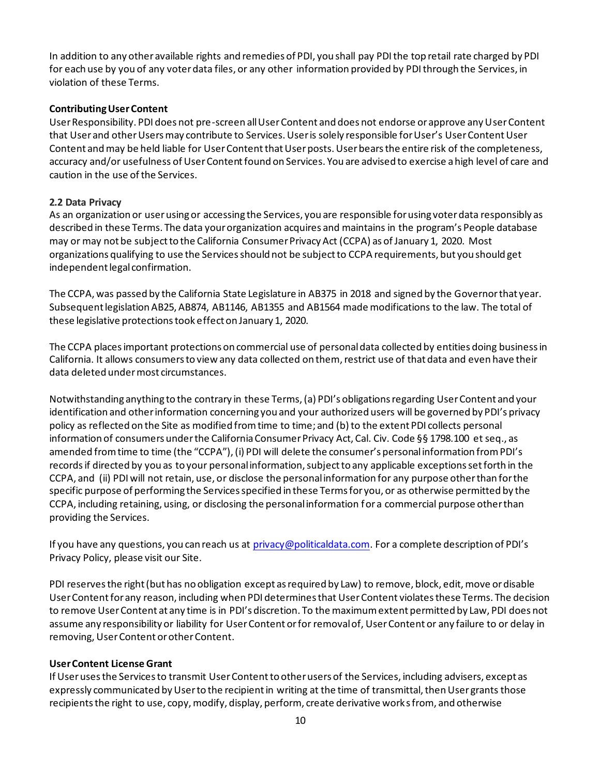In addition to any other available rights and remedies of PDI, you shall pay PDI the top retail rate charged by PDI for each use by you of any voter data files, or any other information provided by PDI through the Services, in violation of these Terms.

### **Contributing User Content**

User Responsibility. PDI does not pre-screen all User Content and does not endorse or approve any User Content that User and other Users may contribute to Services. User is solely responsible for User's User Content User Content andmay be held liable for User Contentthat User posts. User bears the entire risk of the completeness, accuracy and/or usefulness of User Contentfound on Services. You are advised to exercise a high level of care and caution in the use of the Services.

### **2.2 Data Privacy**

As an organization or user using or accessing the Services, you are responsible for using voter data responsibly as described in these Terms. The data your organization acquires and maintains in the program's People database may or may not be subject to the California Consumer Privacy Act (CCPA) as of January 1, 2020. Most organizations qualifying to use the Services should not be subject to CCPA requirements, but you should get independent legal confirmation.

The CCPA, was passed by the California State Legislature in AB375 in 2018 and signed by the Governor that year. Subsequent legislation AB25, AB874, AB1146, AB1355 and AB1564 made modifications to the law. The total of these legislative protections took effect on January 1, 2020.

The CCPA places important protections on commercial use of personal data collected by entities doing business in California. It allows consumers to view any data collected on them, restrict use of that data and even have their data deleted under most circumstances.

Notwithstanding anything to the contrary in these Terms, (a) PDI's obligations regarding User Content and your identification and other information concerning you and your authorized users will be governed by PDI's privacy policy as reflected on the Site as modified from time to time; and (b) to the extent PDI collects personal information of consumers under the California Consumer Privacy Act, Cal. Civ. Code §§ 1798.100 et seq., as amended from time to time (the "CCPA"), (i) PDI will delete the consumer's personal information from PDI's records if directed by you as to your personal information, subject to any applicable exceptions set forth in the CCPA, and (ii) PDI will not retain, use, or disclose the personal information for any purpose other than for the specific purpose of performing the Services specified in these Terms for you, or as otherwise permitted by the CCPA, including retaining, using, or disclosing the personal information for a commercial purpose other than providing the Services.

If you have any questions, you can reach us at privacy@politicaldata.com. For a complete description of PDI's Privacy Policy, please visit our Site.

PDI reserves the right (but has no obligation except as required by Law) to remove, block, edit, move or disable User Contentfor any reason, including when PDI determines that User Content violates these Terms. The decision to remove User Content at any time is in PDI's discretion. To the maximum extent permitted by Law, PDI does not assume any responsibility or liability for User Content or for removal of, User Content or any failure to or delay in removing, User Content or other Content.

#### **User Content License Grant**

If User uses the Services to transmit User Content to other users of the Services, including advisers, except as expressly communicated by User to the recipient in writing at the time of transmittal, then User grants those recipients the right to use, copy, modify, display, perform, create derivative works from, and otherwise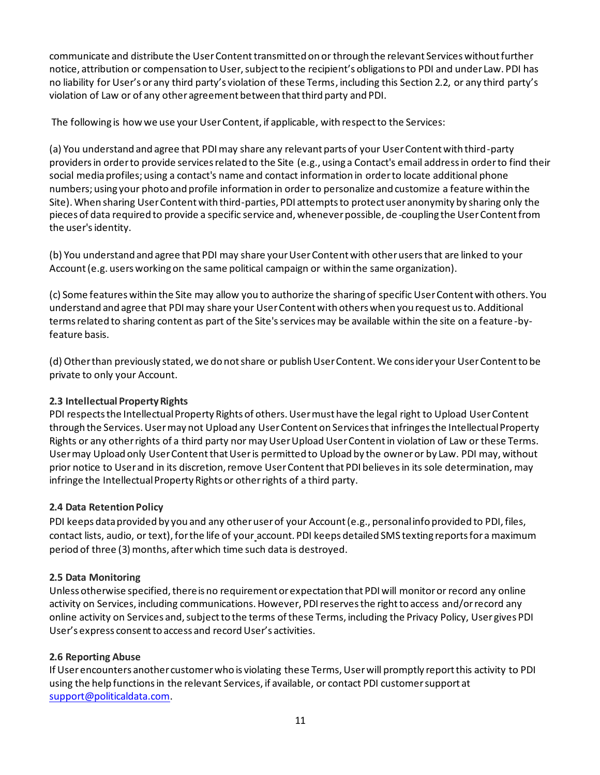communicate and distribute the User Content transmitted on or through the relevant Services without further notice, attribution or compensation to User, subject to the recipient's obligations to PDI and under Law. PDI has no liability for User's or any third party's violation of these Terms, including this Section 2.2, or any third party's violation of Law or of any other agreement between that third party and PDI.

The following is how we use your User Content, if applicable, with respect to the Services:

(a) You understand and agree that PDI may share any relevant parts of your User Content with third-party providers in order to provide services related to the Site (e.g., using a Contact's email address in order to find their social media profiles; using a contact's name and contact information in order to locate additional phone numbers; using your photo and profile information in order to personalize and customize a feature within the Site). When sharing User Content with third-parties, PDI attempts to protect user anonymity by sharing only the pieces of data required to provide a specific service and, whenever possible, de -coupling the User Content from the user's identity.

(b) You understand and agree that PDI may share your User Content with other users that are linked to your Account (e.g. users working on the same political campaign or within the same organization).

(c) Some features within the Site may allow you to authorize the sharing of specific User Content with others. You understand and agree that PDI may share your User Content with others when you request us to. Additional terms related to sharing content as part of the Site's services may be available within the site on a feature -byfeature basis.

(d) Other than previously stated, we do not share or publish User Content. We consider your User Content to be private to only your Account.

# **2.3 Intellectual Property Rights**

PDI respects the Intellectual Property Rights of others. User must have the legal right to Upload User Content through the Services. User may not Upload any User Content on Services that infringes the Intellectual Property Rights or any other rights of a third party nor may User Upload User Contentin violation of Law or these Terms. User may Upload only User Contentthat User is permitted to Upload by the owner or by Law. PDI may, without prior notice to User and in its discretion, remove User Content that PDI believes in its sole determination, may infringe the Intellectual Property Rights or other rights of a third party.

# **2.4 Data Retention Policy**

PDI keeps data provided by you and any other user of your Account (e.g., personal info provided to PDI, files, contact lists, audio, or text), for the life of your account. PDI keeps detailed SMS texting reports for a maximum period of three (3) months, after which time such data is destroyed.

# **2.5 Data Monitoring**

Unless otherwise specified, there is no requirement or expectation that PDI will monitor or record any online activity on Services, including communications. However, PDI reserves the right to access and/or record any online activity on Services and, subject to the terms of these Terms, including the Privacy Policy, User gives PDI User's express consent to access and record User's activities.

# **2.6 Reporting Abuse**

If User encounters another customer who is violating these Terms, User will promptly report this activity to PDI using the help functions in the relevant Services, if available, or contact PDI customer support at support@politicaldata.com.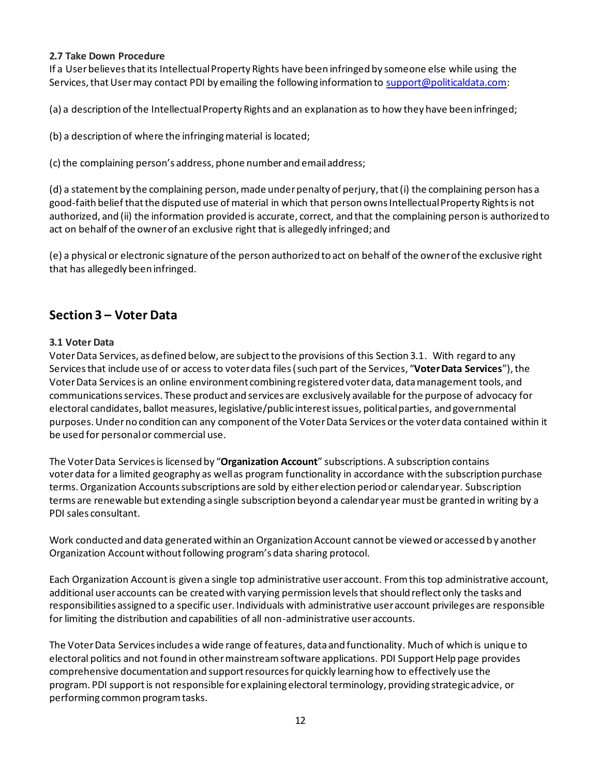### **2.7 Take Down Procedure**

If a User believes that its Intellectual Property Rights have been infringed by someone else while using the Services, that Usermay contact PDI by emailing the following information to support@politicaldata.com:

(a) a description of the Intellectual Property Rights and an explanation as to how they have been infringed;

(b) a description of where the infringing material is located;

(c) the complaining person's address, phone number and email address;

(d) a statement by the complaining person, made under penalty of perjury, that (i) the complaining person has a good-faith belief that the disputed use of material in which that person owns Intellectual Property Rights is not authorized, and (ii) the information provided is accurate, correct, and that the complaining person is authorized to act on behalf of the owner of an exclusive right that is allegedly infringed; and

(e) a physical or electronic signature of the person authorized to act on behalf of the owner of the exclusive right that has allegedly been infringed.

# **Section 3 – Voter Data**

# **3.1 Voter Data**

Voter Data Services, as defined below, are subject to the provisions of this Section 3.1. With regard to any Services that include use of or access to voter data files (such part of the Services, "**Voter Data Services**"), the Voter Data Services is an online environment combining registered voter data, data management tools, and communications services. These product and services are exclusively available for the purpose of advocacy for electoral candidates, ballot measures, legislative/public interest issues, political parties, and governmental purposes. Under no condition can any component of the Voter Data Services or the voter data contained within it be used for personal or commercial use.

The Voter Data Servicesis licensed by "**Organization Account**" subscriptions. A subscription contains voter data for a limited geography as well as program functionality in accordance with the subscription purchase terms. Organization Accounts subscriptions are sold by either election period or calendar year. Subscription terms are renewable but extending a single subscription beyond a calendar year must be granted in writing by a PDI sales consultant.

Work conducted and data generated within an Organization Account cannot be viewed or accessed by another Organization Account without following program's data sharing protocol.

Each Organization Account is given a single top administrative user account. From this top administrative account, additional user accounts can be created with varying permission levels that should reflect only the tasks and responsibilities assigned to a specific user. Individuals with administrative user account privileges are responsible for limiting the distribution and capabilities of all non-administrative user accounts.

The Voter Data Servicesincludes a wide range of features, data and functionality. Much of which is unique to electoral politics and not found in other mainstream software applications. PDI Support Help page provides comprehensive documentation and support resources for quickly learning how to effectively use the program. PDI support is not responsible for explaining electoral terminology, providing strategic advice, or performing common program tasks.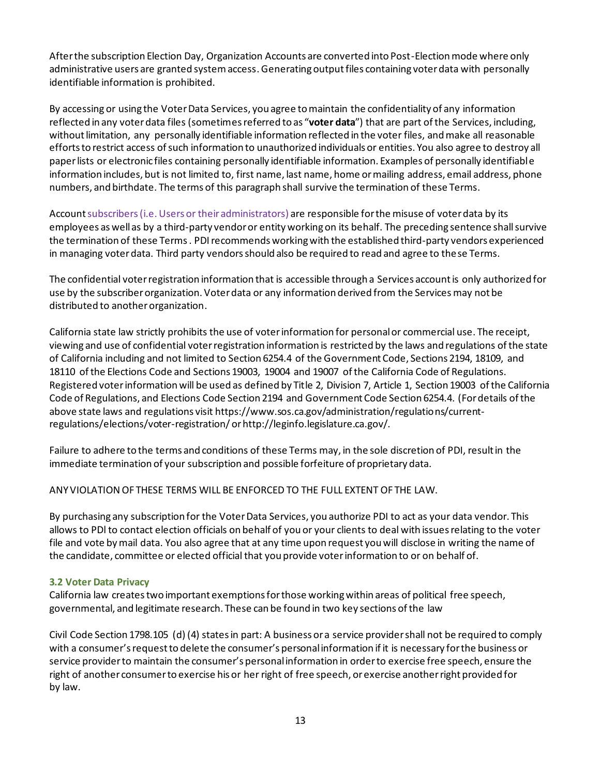After the subscription Election Day, Organization Accounts are converted into Post-Election mode where only administrative users are granted system access. Generating output files containing voter data with personally identifiable information is prohibited.

By accessing or using the Voter Data Services, you agree to maintain the confidentiality of any information reflected in any voter data files (sometimes referred to as "**voter data**") that are part of the Services, including, without limitation, any personally identifiable information reflected in the voter files, and make all reasonable efforts to restrict access of such information to unauthorized individuals or entities. You also agree to destroy all paper lists or electronic files containing personally identifiable information. Examples of personally identifiable information includes, but is not limited to, first name, last name, home or mailing address, email address, phone numbers, and birthdate. The terms of this paragraph shall survive the termination of these Terms.

Account subscribers(i.e.Users or their administrators) are responsible for the misuse of voter data by its employees as well as by a third-party vendor or entity working on its behalf. The preceding sentence shall survive the termination of these Terms . PDI recommends working with the established third-party vendors experienced in managing voter data. Third party vendors should also be required to read and agree to these Terms.

The confidential voter registration information that is accessible through a Services account is only authorized for use by the subscriber organization. Voter data or any information derived from the Services may not be distributed to another organization.

California state law strictly prohibits the use of voter information for personal or commercial use. The receipt, viewing and use of confidential voter registration information is restricted by the laws and regulations of the state of California including and not limited to Section 6254.4 of the Government Code, Sections 2194, 18109, and 18110 of the Elections Code and Sections 19003, 19004 and 19007 of the California Code of Regulations. Registered voter information will be used as defined by Title 2, Division 7, Article 1, Section 19003 of the California Code of Regulations, and Elections Code Section 2194 and Government Code Section 6254.4. (For details of the above state laws and regulations visit https://www.sos.ca.gov/administration/regulations/currentregulations/elections/voter-registration/ or http://leginfo.legislature.ca.gov/.

Failure to adhere to the terms and conditions of these Terms may, in the sole discretion of PDI, result in the immediate termination of your subscription and possible forfeiture of proprietary data.

ANY VIOLATION OF THESE TERMS WILL BE ENFORCED TO THE FULL EXTENT OF THE LAW.

By purchasing any subscription for the Voter Data Services, you authorize PDI to act as your data vendor. This allows to PDl to contact election officials on behalf of you or your clients to deal with issues relating to the voter file and vote by mail data. You also agree that at any time upon request you will disclose in writing the name of the candidate, committee or elected official that you provide voter information to or on behalf of.

### **3.2 Voter Data Privacy**

California law creates two important exemptions for those working within areas of political free speech, governmental, and legitimate research. These can be found in two key sections of the law

Civil Code Section 1798.105 (d) (4) states in part: A business or a service provider shall not be required to comply with a consumer's request to delete the consumer's personal information if it is necessary for the business or service provider to maintain the consumer's personal information in order to exercise free speech, ensure the right of another consumer to exercise his or her right of free speech, or exercise another right provided for by law.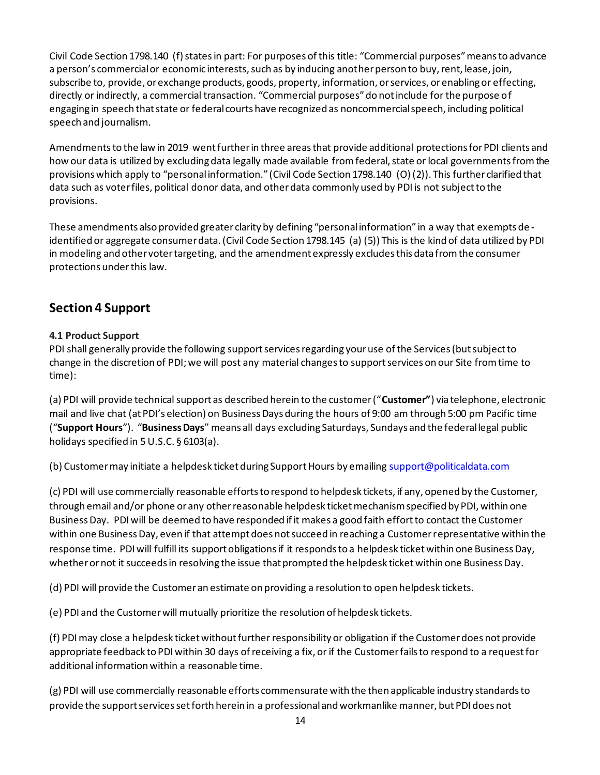Civil Code Section 1798.140 (f) states in part: For purposes of this title: "Commercial purposes" means to advance a person's commercial or economic interests, such as by inducing another person to buy, rent, lease, join, subscribe to, provide, or exchange products, goods, property, information, or services, or enabling or effecting, directly or indirectly, a commercial transaction. "Commercial purposes" do not include for the purpose of engaging in speech that state or federal courts have recognized as noncommercial speech, including political speech and journalism.

Amendments to the law in 2019 went further in three areas that provide additional protections for PDI clients and how our data is utilized by excluding data legally made available from federal, state or local governments from the provisions which apply to "personal information." (Civil Code Section 1798.140 (O) (2)). This further clarified that data such as voter files, political donor data, and other data commonly used by PDI is not subject to the provisions.

These amendments also provided greater clarity by defining "personal information" in a way that exempts de identified or aggregate consumer data. (Civil Code Section 1798.145 (a) (5)) This is the kind of data utilized by PDI in modeling and other voter targeting, and the amendment expressly excludes this data from the consumer protections under this law.

# **Section 4 Support**

# **4.1 Product Support**

PDI shall generally provide the following support services regarding your use of the Services (but subject to change in the discretion of PDI; we will post any material changes to support services on our Site from time to time):

(a) PDI will provide technical support as described herein to the customer ("**Customer"**) via telephone, electronic mail and live chat (at PDI's election) on Business Days during the hours of 9:00 am through 5:00 pm Pacific time ("**Support Hours**"). "**Business Days**" means all days excluding Saturdays, Sundays and the federal legal public holidays specified in 5 U.S.C. § 6103(a).

(b) Customer may initiate a helpdesk ticket during Support Hours by emailing support@politicaldata.com

(c) PDI will use commercially reasonable efforts to respond to helpdesk tickets, if any, opened by the Customer, through email and/or phone or any other reasonable helpdesk ticket mechanism specified by PDI, within one Business Day. PDI will be deemed to have responded if it makes a good faith effort to contact the Customer within one Business Day, even if that attempt does not succeed in reaching a Customer representative within the response time. PDI will fulfill its support obligations if it responds to a helpdesk ticket within one Business Day, whether or not it succeeds in resolving the issue that prompted the helpdesk ticket within one Business Day.

(d) PDI will provide the Customer an estimate on providing a resolution to open helpdesk tickets.

(e) PDI and the Customer will mutually prioritize the resolution of helpdesk tickets.

(f) PDI may close a helpdesk ticket without further responsibility or obligation if the Customer does not provide appropriate feedback to PDI within 30 days of receiving a fix, or if the Customer fails to respond to a request for additional information within a reasonable time.

(g) PDI will use commercially reasonable efforts commensurate with the then applicable industry standards to provide the support services set forth herein in a professional and workmanlike manner, but PDI does not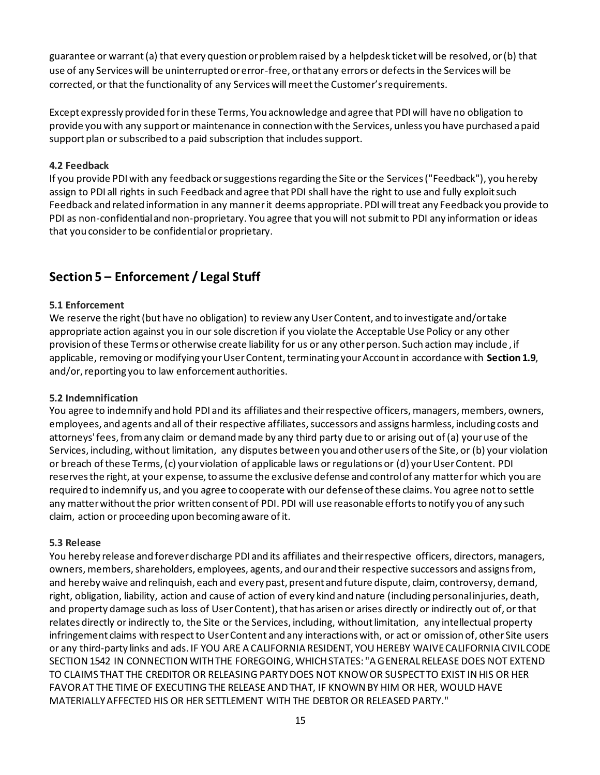guarantee or warrant (a) that every question or problem raised by a helpdesk ticket will be resolved, or (b) that use of any Services will be uninterrupted or error-free, or that any errors or defects in the Services will be corrected, or that the functionality of any Services will meet the Customer's requirements.

Except expressly provided for in these Terms, You acknowledge and agree that PDI will have no obligation to provide you with any support or maintenance in connection with the Services, unless you have purchased a paid support plan or subscribed to a paid subscription that includes support.

### **4.2 Feedback**

If you provide PDI with any feedback or suggestions regarding the Site or the Services ("Feedback"), you hereby assign to PDI all rights in such Feedback and agree that PDI shall have the right to use and fully exploit such Feedback and related information in any manner it deems appropriate. PDI will treat any Feedback you provide to PDI as non-confidential and non-proprietary. You agree that you will not submit to PDI any information or ideas that you consider to be confidential or proprietary.

# **Section 5 – Enforcement / Legal Stuff**

### **5.1 Enforcement**

We reserve the right (but have no obligation) to review any User Content, and to investigate and/or take appropriate action against you in our sole discretion if you violate the Acceptable Use Policy or any other provision of these Terms or otherwise create liability for us or any other person. Such action may include , if applicable, removing or modifying your User Content, terminating your Account in accordance with **Section 1.9**, and/or, reporting you to law enforcement authorities.

### **5.2 Indemnification**

You agree to indemnify and hold PDI and its affiliates and their respective officers, managers, members, owners, employees, and agents and all of their respective affiliates, successors and assigns harmless, including costs and attorneys' fees, from any claim or demand made by any third party due to or arising out of (a) your use of the Services, including, without limitation, any disputes between you and other users of the Site, or (b) your violation or breach of these Terms, (c) your violation of applicable laws or regulations or (d) your User Content. PDI reserves the right, at your expense, to assume the exclusive defense and control of any matter for which you are required to indemnify us, and you agree to cooperate with our defense of these claims. You agree not to settle any matter without the prior written consent of PDI. PDI will use reasonable efforts to notify you of any such claim, action or proceeding upon becoming aware of it.

### **5.3 Release**

You hereby release and forever discharge PDI and its affiliates and their respective officers, directors, managers, owners, members, shareholders, employees, agents, and our and their respective successors and assigns from, and hereby waive and relinquish, each and every past, present and future dispute, claim, controversy, demand, right, obligation, liability, action and cause of action of every kind and nature (including personal injuries, death, and property damage such as loss of User Content), that has arisen or arises directly or indirectly out of, or that relates directly or indirectly to, the Site or the Services, including, without limitation, any intellectual property infringement claims with respect to User Content and any interactions with, or act or omission of, other Site users or any third-party links and ads. IF YOU ARE A CALIFORNIA RESIDENT, YOU HEREBY WAIVE CALIFORNIA CIVIL CODE SECTION 1542 IN CONNECTION WITH THE FOREGOING, WHICH STATES: "A GENERAL RELEASE DOES NOT EXTEND TO CLAIMS THAT THE CREDITOR OR RELEASING PARTY DOES NOT KNOW OR SUSPECT TO EXIST IN HIS OR HER FAVOR AT THE TIME OF EXECUTING THE RELEASE AND THAT, IF KNOWN BY HIM OR HER, WOULD HAVE MATERIALLY AFFECTED HIS OR HER SETTLEMENT WITH THE DEBTOR OR RELEASED PARTY."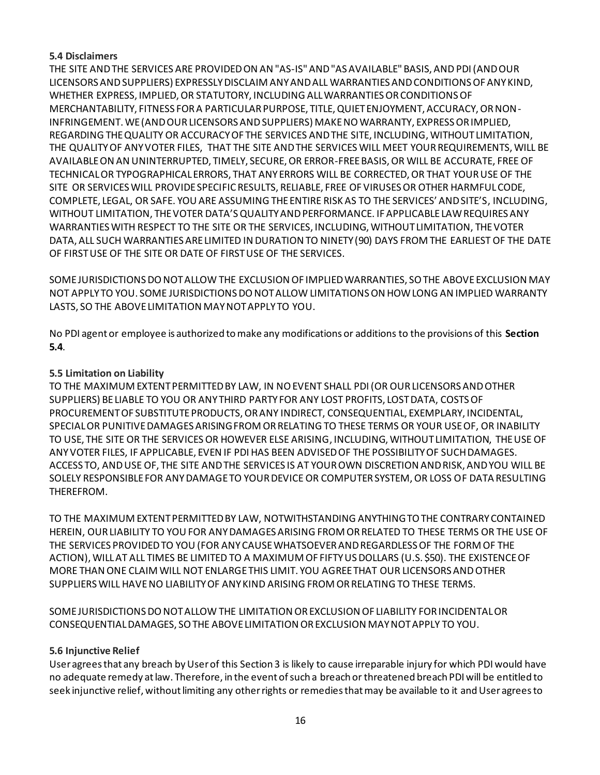### **5.4 Disclaimers**

THE SITE AND THE SERVICES ARE PROVIDED ON AN "AS-IS" AND "AS AVAILABLE" BASIS, AND PDI(AND OUR LICENSORS AND SUPPLIERS) EXPRESSLY DISCLAIM ANY AND ALL WARRANTIES AND CONDITIONS OF ANY KIND, WHETHER EXPRESS, IMPLIED, OR STATUTORY, INCLUDING ALL WARRANTIES OR CONDITIONS OF MERCHANTABILITY, FITNESS FOR A PARTICULAR PURPOSE, TITLE, QUIET ENJOYMENT, ACCURACY, OR NON-INFRINGEMENT. WE (AND OUR LICENSORS AND SUPPLIERS) MAKE NO WARRANTY, EXPRESS OR IMPLIED, REGARDING THE QUALITY OR ACCURACY OF THE SERVICES AND THE SITE, INCLUDING, WITHOUT LIMITATION, THE QUALITYOF ANY VOTER FILES, THAT THE SITE AND THE SERVICES WILL MEET YOUR REQUIREMENTS, WILL BE AVAILABLE ON AN UNINTERRUPTED, TIMELY, SECURE, OR ERROR-FREE BASIS, OR WILL BE ACCURATE, FREE OF TECHNICAL OR TYPOGRAPHICAL ERRORS, THAT ANY ERRORS WILL BE CORRECTED, OR THAT YOUR USE OF THE SITE OR SERVICES WILL PROVIDE SPECIFIC RESULTS, RELIABLE, FREE OF VIRUSES OR OTHER HARMFUL CODE, COMPLETE, LEGAL, OR SAFE. YOU ARE ASSUMING THE ENTIRE RISK AS TO THE SERVICES' AND SITE'S, INCLUDING, WITHOUT LIMITATION, THE VOTER DATA'S QUALITY AND PERFORMANCE. IF APPLICABLE LAW REQUIRES ANY WARRANTIES WITH RESPECT TO THE SITE OR THE SERVICES, INCLUDING, WITHOUT LIMITATION, THE VOTER DATA, ALL SUCH WARRANTIES ARE LIMITED IN DURATION TO NINETY (90) DAYS FROM THE EARLIEST OF THE DATE OF FIRST USE OF THE SITE OR DATE OF FIRST USE OF THE SERVICES.

SOME JURISDICTIONS DO NOT ALLOW THE EXCLUSION OF IMPLIED WARRANTIES, SO THE ABOVE EXCLUSION MAY NOT APPLY TO YOU. SOME JURISDICTIONS DO NOT ALLOW LIMITATIONS ON HOW LONG AN IMPLIED WARRANTY LASTS, SO THE ABOVE LIMITATION MAY NOT APPLY TO YOU.

No PDI agent or employee is authorized to make any modifications or additions to the provisions of this **Section 5.4**.

# **5.5 Limitation on Liability**

TO THE MAXIMUM EXTENT PERMITTED BY LAW, IN NO EVENT SHALL PDI(OR OUR LICENSORS AND OTHER SUPPLIERS) BE LIABLE TO YOU OR ANY THIRD PARTY FOR ANY LOST PROFITS, LOST DATA, COSTS OF PROCUREMENT OF SUBSTITUTE PRODUCTS, OR ANY INDIRECT, CONSEQUENTIAL, EXEMPLARY, INCIDENTAL, SPECIAL OR PUNITIVE DAMAGES ARISING FROM OR RELATING TO THESE TERMS OR YOUR USE OF, OR INABILITY TO USE, THE SITE OR THE SERVICES OR HOWEVER ELSE ARISING, INCLUDING, WITHOUT LIMITATION, THE USE OF ANY VOTER FILES, IF APPLICABLE, EVEN IF PDIHAS BEEN ADVISED OF THE POSSIBILITY OF SUCH DAMAGES. ACCESS TO, AND USE OF, THE SITE AND THE SERVICES IS AT YOUR OWN DISCRETION AND RISK, AND YOU WILL BE SOLELY RESPONSIBLE FOR ANY DAMAGE TO YOUR DEVICE OR COMPUTER SYSTEM, OR LOSS OF DATA RESULTING THEREFROM.

TO THE MAXIMUM EXTENT PERMITTED BY LAW, NOTWITHSTANDING ANYTHING TO THE CONTRARY CONTAINED HEREIN, OUR LIABILITY TO YOU FOR ANY DAMAGES ARISING FROM OR RELATED TO THESE TERMS OR THE USE OF THE SERVICES PROVIDED TO YOU (FOR ANY CAUSE WHATSOEVER AND REGARDLESS OF THE FORM OF THE ACTION), WILL AT ALL TIMES BE LIMITED TO A MAXIMUM OF FIFTY US DOLLARS (U.S. \$50). THE EXISTENCE OF MORE THAN ONE CLAIM WILL NOT ENLARGE THIS LIMIT. YOU AGREE THAT OUR LICENSORS AND OTHER SUPPLIERS WILL HAVE NO LIABILITY OF ANY KIND ARISING FROM OR RELATING TO THESE TERMS.

SOME JURISDICTIONS DO NOT ALLOW THE LIMITATION OR EXCLUSION OF LIABILITY FOR INCIDENTAL OR CONSEQUENTIAL DAMAGES, SO THE ABOVE LIMITATION OR EXCLUSION MAY NOT APPLY TO YOU.

# **5.6 Injunctive Relief**

User agrees that any breach by User of this Section 3 is likely to cause irreparable injury for which PDI would have no adequate remedy at law. Therefore, in the event of such a breach or threatened breach PDI will be entitled to seek injunctive relief, without limiting any other rights or remedies that may be available to it and User agrees to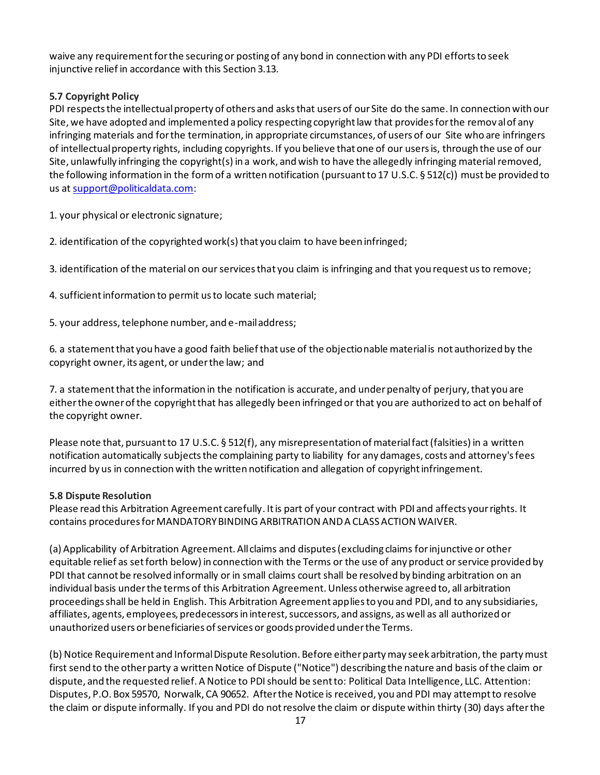waive any requirement for the securing or posting of any bond in connection with any PDI efforts to seek injunctive relief in accordance with this Section 3.13.

# **5.7 Copyright Policy**

PDI respects the intellectual property of others and asks that users of our Site do the same. In connection with our Site, we have adopted and implemented a policy respecting copyright law that provides for the remov al of any infringing materials and for the termination, in appropriate circumstances, of users of our Site who are infringers of intellectual property rights, including copyrights. If you believe that one of our users is, through the use of our Site, unlawfully infringing the copyright(s) in a work, and wish to have the allegedly infringing material removed, the following information in the form of a written notification (pursuant to 17 U.S.C. § 512(c)) must be provided to us at support@politicaldata.com:

1. your physical or electronic signature;

2. identification of the copyrighted work(s) that you claim to have been infringed;

3. identification of the material on our services that you claim is infringing and that you request us to remove;

4. sufficient information to permit us to locate such material;

5. your address, telephone number, and e-mail address;

6. a statement that you have a good faith belief that use of the objectionable material is not authorized by the copyright owner, its agent, or under the law; and

7. a statement that the information in the notification is accurate, and under penalty of perjury, that you are either the owner of the copyright that has allegedly been infringed or that you are authorized to act on behalf of the copyright owner.

Please note that, pursuant to 17 U.S.C. § 512(f), any misrepresentation of material fact (falsities) in a written notification automatically subjects the complaining party to liability for any damages, costs and attorney's fees incurred by us in connection with the written notification and allegation of copyright infringement.

# **5.8 Dispute Resolution**

Please read this Arbitration Agreement carefully. It is part of your contract with PDI and affects your rights. It contains procedures for MANDATORY BINDING ARBITRATION AND A CLASS ACTION WAIVER.

(a) Applicability of Arbitration Agreement. All claims and disputes (excluding claims for injunctive or other equitable relief as set forth below) in connection with the Terms or the use of any product or service provided by PDI that cannot be resolved informally or in small claims court shall be resolved by binding arbitration on an individual basis under the terms of this Arbitration Agreement. Unless otherwise agreed to, all arbitration proceedings shall be held in English. This Arbitration Agreement applies to you and PDI, and to any subsidiaries, affiliates, agents, employees, predecessors in interest, successors, and assigns, as well as all authorized or unauthorized users or beneficiaries of services or goods provided under the Terms.

(b) Notice Requirement and Informal Dispute Resolution. Before either party may seek arbitration, the party must first send to the other party a written Notice of Dispute ("Notice") describing the nature and basis of the claim or dispute, and the requested relief. A Notice to PDIshould be sent to: Political Data Intelligence, LLC. Attention: Disputes, P.O. Box 59570, Norwalk, CA 90652. After the Notice is received, you and PDI may attempt to resolve the claim or dispute informally. If you and PDI do not resolve the claim or dispute within thirty (30) days after the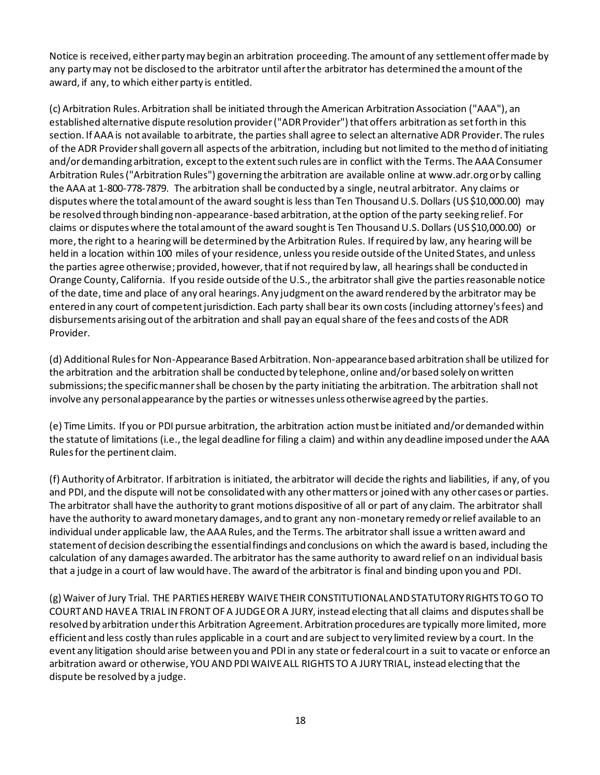Notice is received, either party may begin an arbitration proceeding. The amount of any settlement offer made by any party may not be disclosed to the arbitrator until after the arbitrator has determined the amount of the award, if any, to which either party is entitled.

(c) Arbitration Rules. Arbitration shall be initiated through the American Arbitration Association ("AAA"), an established alternative dispute resolution provider ("ADR Provider") that offers arbitration as set forth in this section. If AAA is not available to arbitrate, the parties shall agree to select an alternative ADR Provider. The rules of the ADR Provider shall govern all aspects of the arbitration, including but not limited to the method of initiating and/or demanding arbitration, except to the extent such rules are in conflict with the Terms. The AAA Consumer Arbitration Rules ("Arbitration Rules") governing the arbitration are available online at www.adr.org or by calling the AAA at 1-800-778-7879. The arbitration shall be conducted by a single, neutral arbitrator. Any claims or disputes where the total amount of the award sought is less than Ten Thousand U.S. Dollars (US \$10,000.00) may be resolved through binding non-appearance-based arbitration, at the option of the party seeking relief. For claims or disputes where the total amount of the award sought is Ten Thousand U.S. Dollars (US \$10,000.00) or more, the right to a hearing will be determined by the Arbitration Rules. If required by law, any hearing will be held in a location within 100 miles of your residence, unless you reside outside of the United States, and unless the parties agree otherwise; provided, however, that if not required by law, all hearings shall be conducted in Orange County, California. If you reside outside of the U.S., the arbitrator shall give the parties reasonable notice of the date, time and place of any oral hearings. Any judgment on the award rendered by the arbitrator may be entered in any court of competent jurisdiction. Each party shall bear its own costs (including attorney's fees) and disbursements arising out of the arbitration and shall pay an equal share of the fees and costs of the ADR Provider.

(d) Additional Rules for Non-Appearance Based Arbitration. Non-appearance based arbitration shall be utilized for the arbitration and the arbitration shall be conducted by telephone, online and/or based solely on written submissions; the specific manner shall be chosen by the party initiating the arbitration. The arbitration shall not involve any personal appearance by the parties or witnesses unless otherwise agreed by the parties.

(e) Time Limits. If you or PDI pursue arbitration, the arbitration action must be initiated and/or demanded within the statute of limitations (i.e., the legal deadline for filing a claim) and within any deadline imposed under the AAA Rules for the pertinent claim.

(f) Authority of Arbitrator. If arbitration is initiated, the arbitrator will decide the rights and liabilities, if any, of you and PDI, and the dispute will not be consolidated with any other matters or joined with any other cases or parties. The arbitrator shall have the authority to grant motions dispositive of all or part of any claim. The arbitrator shall have the authority to award monetary damages, and to grant any non-monetary remedy or relief available to an individual under applicable law, the AAA Rules, and the Terms. The arbitrator shall issue a written award and statement of decision describing the essential findings and conclusions on which the award is based, including the calculation of any damages awarded. The arbitrator has the same authority to award relief on an individual basis that a judge in a court of law would have. The award of the arbitrator is final and binding upon you and PDI.

(g) Waiver of Jury Trial. THE PARTIES HEREBY WAIVE THEIR CONSTITUTIONAL AND STATUTORY RIGHTS TO GO TO COURT AND HAVE A TRIAL IN FRONT OF A JUDGE OR A JURY, instead electing that all claims and disputes shall be resolved by arbitration under this Arbitration Agreement. Arbitration procedures are typically more limited, more efficient and less costly than rules applicable in a court and are subject to very limited review by a court. In the event any litigation should arise between you and PDI in any state or federal court in a suit to vacate or enforce an arbitration award or otherwise, YOU AND PDI WAIVE ALL RIGHTS TO A JURY TRIAL, instead electing that the dispute be resolved by a judge.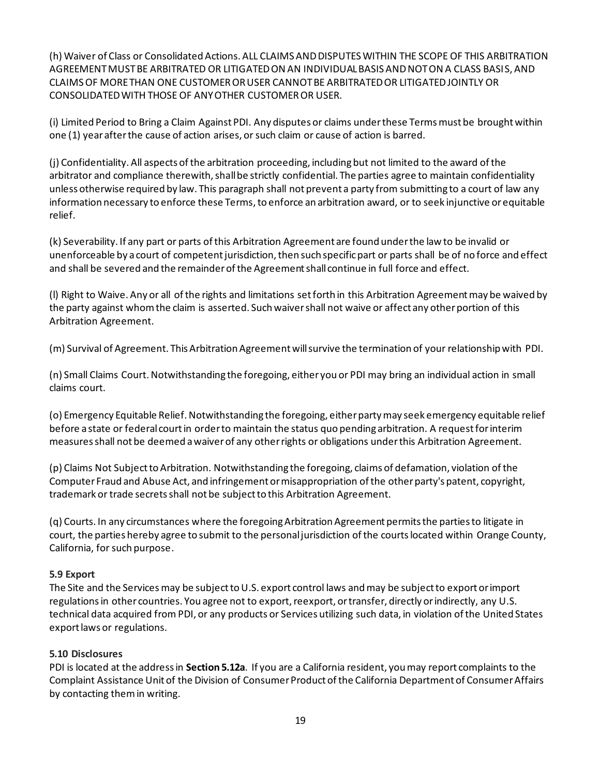(h) Waiver of Class or Consolidated Actions. ALL CLAIMS AND DISPUTES WITHIN THE SCOPE OF THIS ARBITRATION AGREEMENT MUST BE ARBITRATED OR LITIGATED ON AN INDIVIDUAL BASIS AND NOT ON A CLASS BASIS, AND CLAIMS OF MORE THAN ONE CUSTOMER OR USER CANNOT BE ARBITRATED OR LITIGATED JOINTLY OR CONSOLIDATED WITH THOSE OF ANY OTHER CUSTOMER OR USER.

(i) Limited Period to Bring a Claim Against PDI. Any disputes or claims under these Terms must be brought within one (1) year after the cause of action arises, or such claim or cause of action is barred.

(j) Confidentiality. All aspects of the arbitration proceeding, including but not limited to the award of the arbitrator and compliance therewith, shall be strictly confidential. The parties agree to maintain confidentiality unless otherwise required by law. This paragraph shall not prevent a party from submitting to a court of law any information necessary to enforce these Terms, to enforce an arbitration award, or to seek injunctive or equitable relief.

(k) Severability. If any part or parts of this Arbitration Agreement are found under the law to be invalid or unenforceable by a court of competent jurisdiction, then such specific part or parts shall be of no force and effect and shall be severed and the remainder of the Agreement shall continue in full force and effect.

(l) Right to Waive. Any or all of the rights and limitations set forth in this Arbitration Agreement may be waived by the party against whom the claim is asserted. Such waiver shall not waive or affect any other portion of this Arbitration Agreement.

(m) Survival of Agreement. This Arbitration Agreement will survive the termination of your relationship with PDI.

(n) Small Claims Court. Notwithstanding the foregoing, either you or PDI may bring an individual action in small claims court.

(o) Emergency Equitable Relief. Notwithstanding the foregoing, either party may seek emergency equitable relief before a state or federal court in order to maintain the status quo pending arbitration. A request for interim measures shall not be deemed a waiver of any other rights or obligations under this Arbitration Agreement.

(p) Claims Not Subject to Arbitration. Notwithstanding the foregoing, claims of defamation, violation of the Computer Fraud and Abuse Act, and infringement or misappropriation of the other party's patent, copyright, trademark or trade secrets shall not be subject to this Arbitration Agreement.

(q) Courts. In any circumstances where the foregoing Arbitration Agreement permits the parties to litigate in court, the parties hereby agree to submit to the personal jurisdiction of the courts located within Orange County, California, for such purpose.

# **5.9 Export**

The Site and the Services may be subject to U.S. export control laws and may be subject to export or import regulations in other countries. You agree not to export, reexport, or transfer, directly or indirectly, any U.S. technical data acquired from PDI, or any products or Services utilizing such data, in violation of the United States export laws or regulations.

# **5.10 Disclosures**

PDI is located at the address in **Section 5.12a**. If you are a California resident, you may report complaints to the Complaint Assistance Unit of the Division of Consumer Product of the California Department of Consumer Affairs by contacting them in writing.